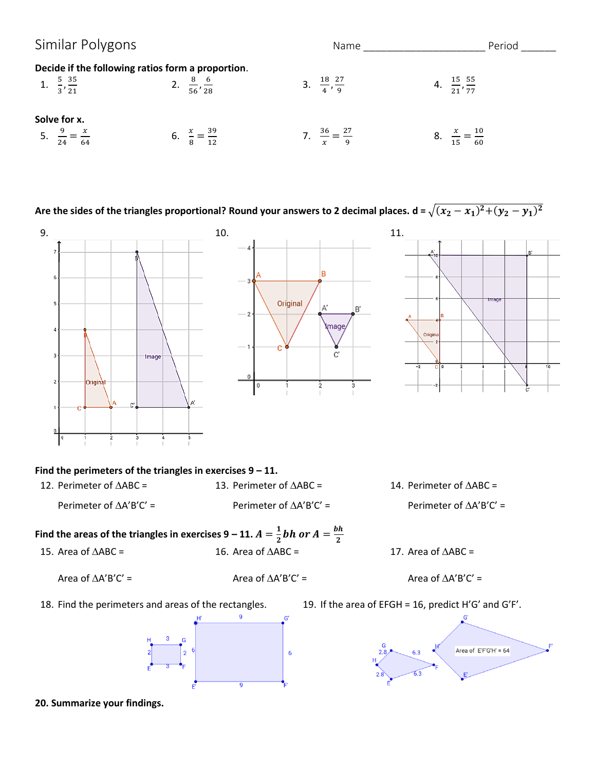| Similar Polygons                                                                     |                                 | Name                                 | Period                            |
|--------------------------------------------------------------------------------------|---------------------------------|--------------------------------------|-----------------------------------|
| Decide if the following ratios form a proportion.<br>1. $\frac{5}{3}, \frac{35}{21}$ | 2. $\frac{8}{56}, \frac{6}{28}$ | 3. $\frac{18}{4}, \frac{27}{9}$      | 4. $\frac{15}{21}, \frac{55}{77}$ |
| Solve for x.                                                                         | $\frac{39}{2}$<br>6.<br>12      | $7 \frac{36}{2} = \frac{27}{4}$<br>q | $=\frac{10}{60}$<br>8.            |

Are the sides of the triangles proportional? Round your answers to 2 decimal places. d =  $\sqrt{(x_2-x_1)^2+(y_2-y_1)^2}$ 



**20. Summarize your findings.**